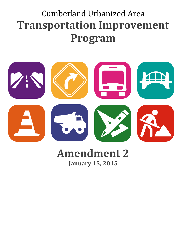# Cumberland Urbanized Area **Transportation Improvement Program**



# **Amendment 2 January 15, 2015**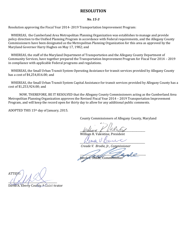#### **RESOLUTION**

#### *No. 15-3*

Resolution approving the Fiscal Year 2014- 2019 Transportation Improvement Program:

WHEREAS, the Cumberland Area Metropolitan Planning Organization was establishes to manage and provide policy direction to the Unified Planning Program in accordance with Federal requirements, and the Allegany County Commissioners have been designated as the Metropolitan Planning Organization for this area as approved by the Maryland Governor Harry Hughes on May 17, 1982; and

WHEREAS, the staff of the Maryland Department of Transportation and the Allegany County Department of Community Services, have together prepared the Transportation Improvement Program for Fiscal Year 2014 – 2019 in compliance with applicable Federal programs and regulations.

WHEREAS, the Small Urban Transit System Operating Assistance for transit services provided by Allegany County has a cost of \$4,254,816.00; and

WHEREAS, the Small Urban Transit System Capital Assistance for transit services provided by Allegany County has a cost of \$1,253,924.00; and

NOW, THEREFORE, BE IT RESOLVED that the Allegany County Commissioners acting as the Cumberland Area Metropolitan Planning Organization approves the Revised Fiscal Year 2014 – 2019 Transportation Improvement Program, and will keep the record open for thirty day to allow for any additional public comments.

ADOPTED THIS 15th day of January, 2015.

County Commissioners of Allegany County, Maryland

 $\mu$ rian  $\ell$   $\nu$ alar $\mu$ 

William R. Valentine, President

 $\mu$  bell  $\nu$   $\nu$  bell

*Creade V. Brodie, Jr., Commissioner*

 $\frac{1}{2}$   $\frac{1}{2}$   $\frac{1}{2}$   $\frac{1}{2}$   $\frac{1}{2}$   $\frac{1}{2}$   $\frac{1}{2}$   $\frac{1}{2}$ Jacob C. Shade, Commissioner

ATTEST:  $\left(\left(\mathbb{R}^N\right)\right)$ 

David A. Eberly County Administrator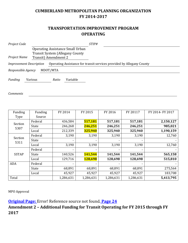### **CUMBERLAND METROPOLITAN PLANNING ORGANIZATION FY 2014-2017**

#### **TRANSPORTATION IMPROVEMENT PROGRAM OPERATING**

| Project Code                   |                                                                                                            |          | STIP#                                                                 |  |  |  |  |  |
|--------------------------------|------------------------------------------------------------------------------------------------------------|----------|-----------------------------------------------------------------------|--|--|--|--|--|
| Project Name                   | <b>Operating Assistance Small Urban</b><br><b>Transit System (Allegany County)</b><br>Transit) Amendment 2 |          |                                                                       |  |  |  |  |  |
| <b>Improvement Description</b> |                                                                                                            |          | Operating Assistance for transit services provided by Allegany County |  |  |  |  |  |
| Responsible Agency             |                                                                                                            | MDOT/MTA |                                                                       |  |  |  |  |  |
| Funding                        | Various                                                                                                    | Ratio    | Variable                                                              |  |  |  |  |  |

*Comments*

| Funding         | Funding | FY 2014                  | FY 2015   | FY 2016   | FY 20117  | FY 2014- FY 2017 |
|-----------------|---------|--------------------------|-----------|-----------|-----------|------------------|
| Type            | Source  |                          |           |           |           |                  |
| Section<br>5307 | Federal | 436,584                  | 517,181   | 517,181   | 517,181   | 2,150,127        |
|                 | State   | 246,268                  | 246,251   | 246,251   | 246,251   | 985,021          |
|                 | Local   | 212,339                  | 325,940   | 325,940   | 325,940   | 1,190,159        |
| Section<br>5311 | Federal | 3,190                    | 3,190     | 3,190     | 3,190     | 12,760           |
|                 | State   | $\overline{\phantom{0}}$ |           |           |           |                  |
|                 | Local   | 3,190                    | 3,190     | 3,190     | 3,190     | 12,760           |
| <b>SSTAP</b>    | Federal |                          |           |           |           |                  |
|                 | State   | 140,526                  | 141,544   | 141,544   | 141,544   | 565,158          |
|                 | Local   | 129,716                  | 128,698   | 128,698   | 128,698   | 515,810          |
| <b>ADA</b>      | Federal |                          |           |           |           |                  |
|                 | State   | 68,891                   | 68,891    | 68,891    | 68,891    | 275,564          |
|                 | Local   | 45,927                   | 45,927    | 45,927    | 45,927    | 183,708          |
| Total           |         | 1,286,631                | 1,286,631 | 1,286,631 | 1,286,631 | 5,413,795        |

MPO Approval

**Original Page:** Error! Reference source not found. **Page 24**

**Amendment 2 – Additional Funding for Transit Operating for FY 2015 through FY 2017**